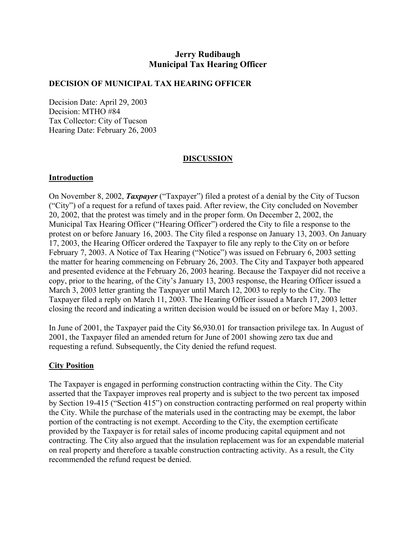# **Jerry Rudibaugh Municipal Tax Hearing Officer**

#### **DECISION OF MUNICIPAL TAX HEARING OFFICER**

Decision Date: April 29, 2003 Decision: MTHO #84 Tax Collector: City of Tucson Hearing Date: February 26, 2003

## **DISCUSSION**

### **Introduction**

On November 8, 2002, *Taxpayer* ("Taxpayer") filed a protest of a denial by the City of Tucson ("City") of a request for a refund of taxes paid. After review, the City concluded on November 20, 2002, that the protest was timely and in the proper form. On December 2, 2002, the Municipal Tax Hearing Officer ("Hearing Officer") ordered the City to file a response to the protest on or before January 16, 2003. The City filed a response on January 13, 2003. On January 17, 2003, the Hearing Officer ordered the Taxpayer to file any reply to the City on or before February 7, 2003. A Notice of Tax Hearing ("Notice") was issued on February 6, 2003 setting the matter for hearing commencing on February 26, 2003. The City and Taxpayer both appeared and presented evidence at the February 26, 2003 hearing. Because the Taxpayer did not receive a copy, prior to the hearing, of the City's January 13, 2003 response, the Hearing Officer issued a March 3, 2003 letter granting the Taxpayer until March 12, 2003 to reply to the City. The Taxpayer filed a reply on March 11, 2003. The Hearing Officer issued a March 17, 2003 letter closing the record and indicating a written decision would be issued on or before May 1, 2003.

In June of 2001, the Taxpayer paid the City \$6,930.01 for transaction privilege tax. In August of 2001, the Taxpayer filed an amended return for June of 2001 showing zero tax due and requesting a refund. Subsequently, the City denied the refund request.

## **City Position**

The Taxpayer is engaged in performing construction contracting within the City. The City asserted that the Taxpayer improves real property and is subject to the two percent tax imposed by Section 19-415 ("Section 415") on construction contracting performed on real property within the City. While the purchase of the materials used in the contracting may be exempt, the labor portion of the contracting is not exempt. According to the City, the exemption certificate provided by the Taxpayer is for retail sales of income producing capital equipment and not contracting. The City also argued that the insulation replacement was for an expendable material on real property and therefore a taxable construction contracting activity. As a result, the City recommended the refund request be denied.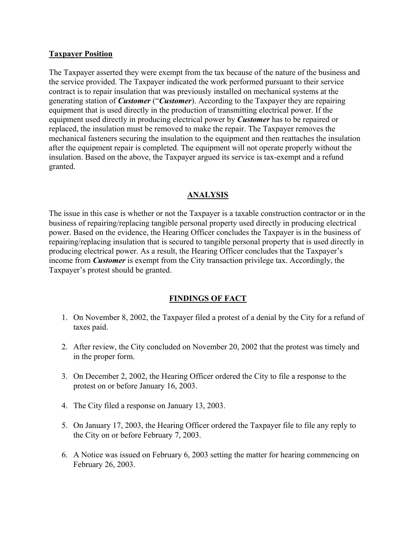### **Taxpayer Position**

The Taxpayer asserted they were exempt from the tax because of the nature of the business and the service provided. The Taxpayer indicated the work performed pursuant to their service contract is to repair insulation that was previously installed on mechanical systems at the generating station of *Customer* ("*Customer*). According to the Taxpayer they are repairing equipment that is used directly in the production of transmitting electrical power. If the equipment used directly in producing electrical power by *Customer* has to be repaired or replaced, the insulation must be removed to make the repair. The Taxpayer removes the mechanical fasteners securing the insulation to the equipment and then reattaches the insulation after the equipment repair is completed. The equipment will not operate properly without the insulation. Based on the above, the Taxpayer argued its service is tax-exempt and a refund granted.

### **ANALYSIS**

The issue in this case is whether or not the Taxpayer is a taxable construction contractor or in the business of repairing/replacing tangible personal property used directly in producing electrical power. Based on the evidence, the Hearing Officer concludes the Taxpayer is in the business of repairing/replacing insulation that is secured to tangible personal property that is used directly in producing electrical power. As a result, the Hearing Officer concludes that the Taxpayer's income from *Customer* is exempt from the City transaction privilege tax. Accordingly, the Taxpayer's protest should be granted.

## **FINDINGS OF FACT**

- 1. On November 8, 2002, the Taxpayer filed a protest of a denial by the City for a refund of taxes paid.
- 2. After review, the City concluded on November 20, 2002 that the protest was timely and in the proper form.
- 3. On December 2, 2002, the Hearing Officer ordered the City to file a response to the protest on or before January 16, 2003.
- 4. The City filed a response on January 13, 2003.
- 5. On January 17, 2003, the Hearing Officer ordered the Taxpayer file to file any reply to the City on or before February 7, 2003.
- 6. A Notice was issued on February 6, 2003 setting the matter for hearing commencing on February 26, 2003.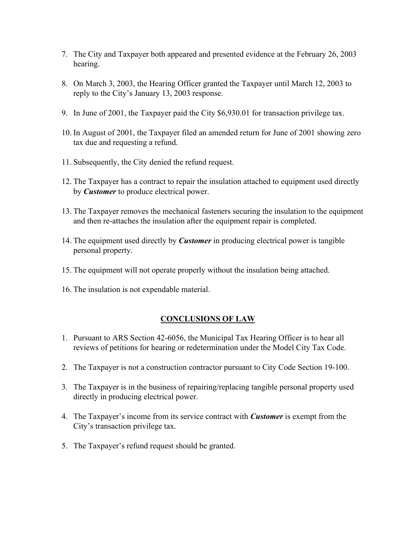- 7. The City and Taxpayer both appeared and presented evidence at the February 26, 2003 hearing.
- 8. On March 3, 2003, the Hearing Officer granted the Taxpayer until March 12, 2003 to reply to the City's January 13, 2003 response.
- 9. In June of 2001, the Taxpayer paid the City \$6,930.01 for transaction privilege tax.
- 10. In August of 2001, the Taxpayer filed an amended return for June of 2001 showing zero tax due and requesting a refund.
- 11. Subsequently, the City denied the refund request.
- 12. The Taxpayer has a contract to repair the insulation attached to equipment used directly by *Customer* to produce electrical power.
- 13. The Taxpayer removes the mechanical fasteners securing the insulation to the equipment and then re-attaches the insulation after the equipment repair is completed.
- 14. The equipment used directly by *Customer* in producing electrical power is tangible personal property.
- 15. The equipment will not operate properly without the insulation being attached.
- 16. The insulation is not expendable material.

## **CONCLUSIONS OF LAW**

- 1. Pursuant to ARS Section 42-6056, the Municipal Tax Hearing Officer is to hear all reviews of petitions for hearing or redetermination under the Model City Tax Code.
- 2. The Taxpayer is not a construction contractor pursuant to City Code Section 19-100.
- 3. The Taxpayer is in the business of repairing/replacing tangible personal property used directly in producing electrical power.
- 4. The Taxpayer's income from its service contract with *Customer* is exempt from the City's transaction privilege tax.
- 5. The Taxpayer's refund request should be granted.